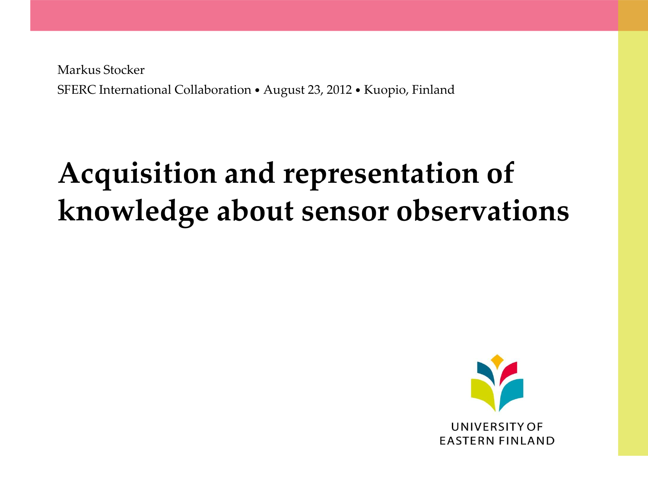Markus Stocker SFERC International Collaboration • August 23, 2012 • Kuopio, Finland

# **Acquisition and representation of knowledge about sensor observations**

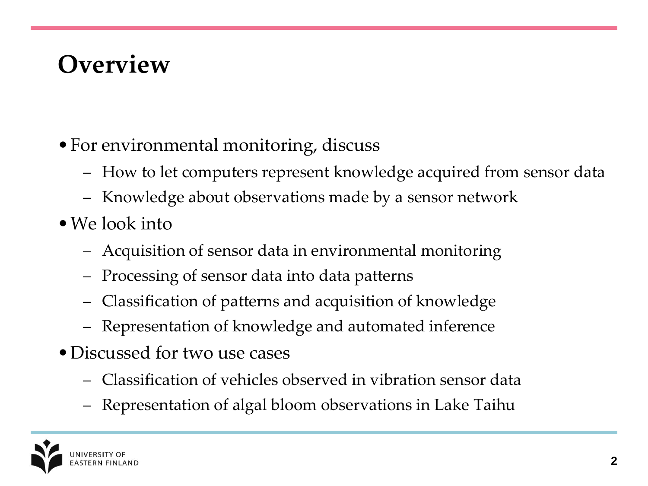#### **Overview**

- For environmental monitoring, discuss
	- How to let computers represent knowledge acquired from sensor data
	- Knowledge about observations made by a sensor network
- We look into
	- Acquisition of sensor data in environmental monitoring
	- Processing of sensor data into data patterns
	- Classification of patterns and acquisition of knowledge
	- Representation of knowledge and automated inference
- •Discussed for two use cases
	- Classification of vehicles observed in vibration sensor data
	- Representation of algal bloom observations in Lake Taihu

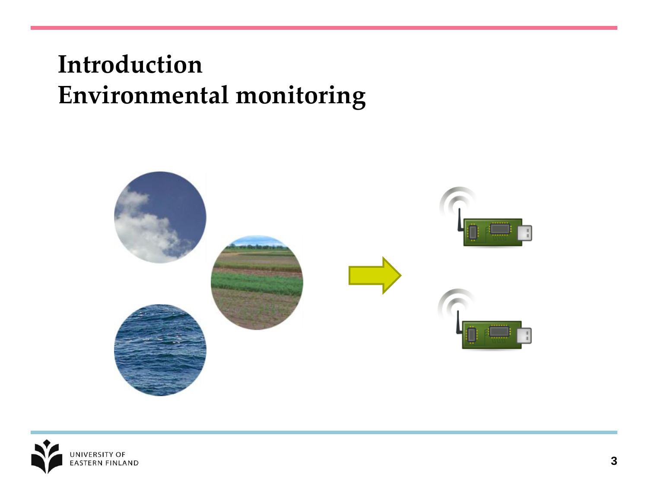#### **Introduction Environmental monitoring**



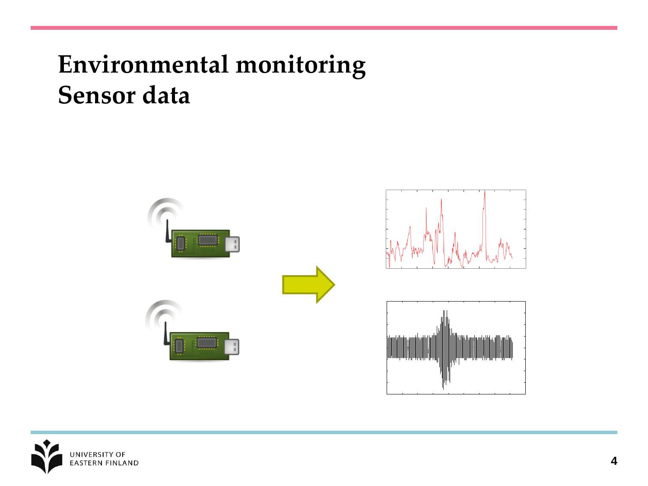#### **Environmental monitoring Sensor data**



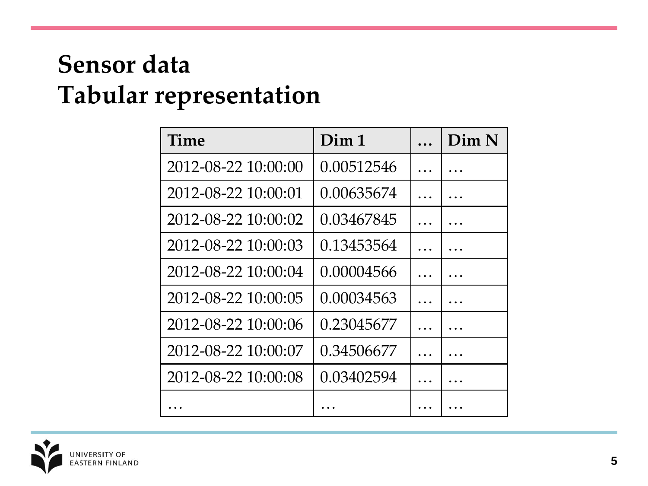#### **Sensor data Tabular representation**

| Time                | Dim 1      | Dim N |
|---------------------|------------|-------|
| 2012-08-22 10:00:00 | 0.00512546 |       |
| 2012-08-22 10:00:01 | 0.00635674 |       |
| 2012-08-22 10:00:02 | 0.03467845 |       |
| 2012-08-22 10:00:03 | 0.13453564 |       |
| 2012-08-22 10:00:04 | 0.00004566 |       |
| 2012-08-22 10:00:05 | 0.00034563 |       |
| 2012-08-22 10:00:06 | 0.23045677 |       |
| 2012-08-22 10:00:07 | 0.34506677 |       |
| 2012-08-22 10:00:08 | 0.03402594 |       |
|                     |            |       |

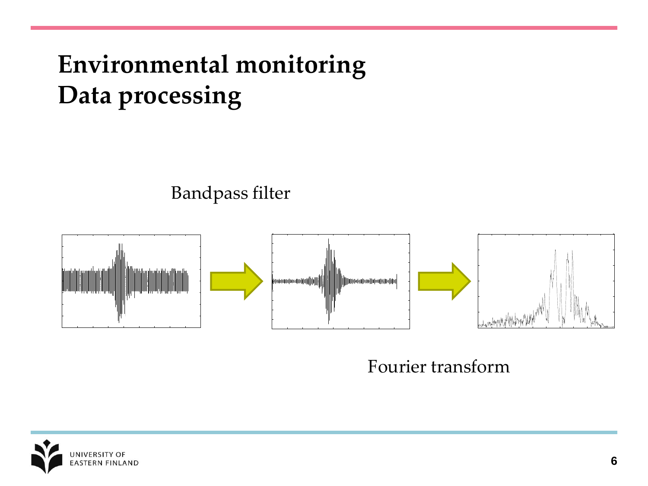## **Environmental monitoring Data processing**

Bandpass filter



Fourier transform

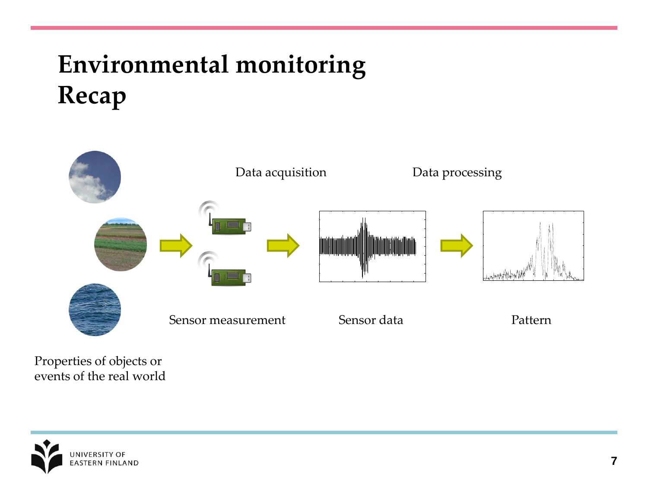## **Environmental monitoring Recap**



Properties of objects or events of the real world

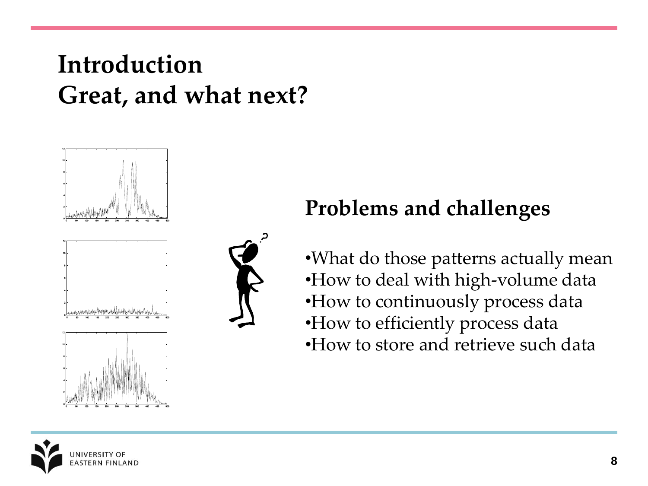#### **Introduction Great, and what next?**



#### **Problems and challenges**

•What do those patterns actually mean •How to deal with high-volume data •How to continuously process data •How to efficiently process data •How to store and retrieve such data

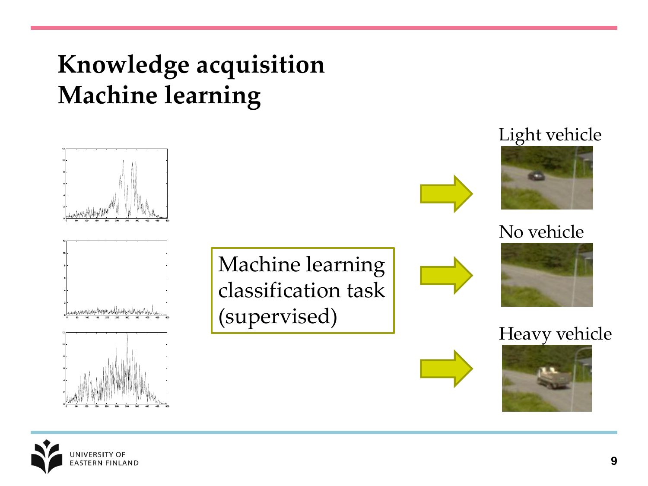### **Knowledge acquisition Machine learning**



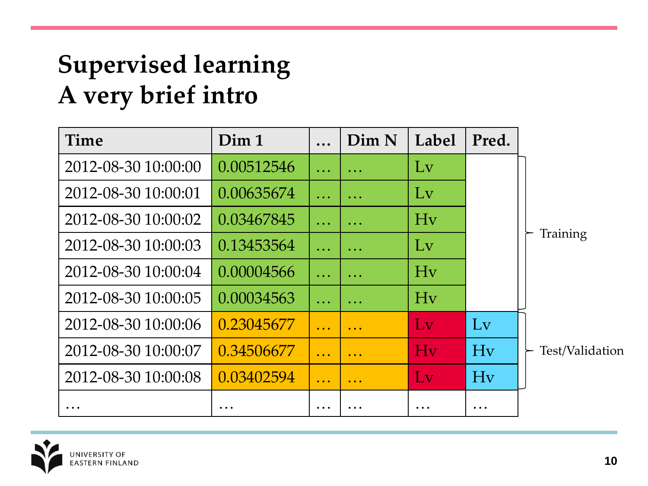## **Supervised learning A very brief intro**

| Time                | Dim 1                                                               |                                                    | Dim N                                              | Label                  | Pred.                  |                 |
|---------------------|---------------------------------------------------------------------|----------------------------------------------------|----------------------------------------------------|------------------------|------------------------|-----------------|
| 2012-08-30 10:00:00 | 0.00512546                                                          | $\ddotsc$                                          | $\ddotsc$                                          | Lv                     |                        | Training        |
| 2012-08-30 10:00:01 | 0.00635674                                                          | $\ddotsc$                                          | $\ddotsc$                                          | Lv                     |                        |                 |
| 2012-08-30 10:00:02 | 0.03467845                                                          | $\ddotsc$                                          | $\ddotsc$                                          | Hv                     |                        |                 |
| 2012-08-30 10:00:03 | 0.13453564                                                          | $\ddotsc$                                          | .                                                  | Lv                     |                        |                 |
| 2012-08-30 10:00:04 | 0.00004566                                                          | $\ddotsc$                                          | $\ddotsc$                                          | Hv                     |                        |                 |
| 2012-08-30 10:00:05 | 0.00034563                                                          | $\ddotsc$                                          | .                                                  | Hv                     |                        |                 |
| 2012-08-30 10:00:06 | 0.23045677                                                          | $\ddot{\bullet}$ $\ddot{\bullet}$ $\ddot{\bullet}$ | $\ddotsc$                                          | $\mathbf{L}\mathbf{v}$ | $\mathbf{L}\mathbf{v}$ |                 |
| 2012-08-30 10:00:07 | 0.34506677                                                          | $\ddotsc$                                          | $\ddot{\bullet}$ $\ddot{\bullet}$ $\ddot{\bullet}$ | Hv                     | Hv                     | Test/Validation |
| 2012-08-30 10:00:08 | 0.03402594                                                          | $\bullet$ $\bullet$ $\bullet$                      | $\ddot{\bullet}$ $\ddot{\bullet}$ $\ddot{\bullet}$ | LV                     | Hv                     |                 |
| $\ddotsc$           | $\ddot{\phantom{0}}\phantom{0}\bullet\phantom{0}\bullet\phantom{0}$ | $\cdots$                                           |                                                    | $\ddot{\phantom{0}}$ . | $\ddot{\phantom{0}}$ . |                 |

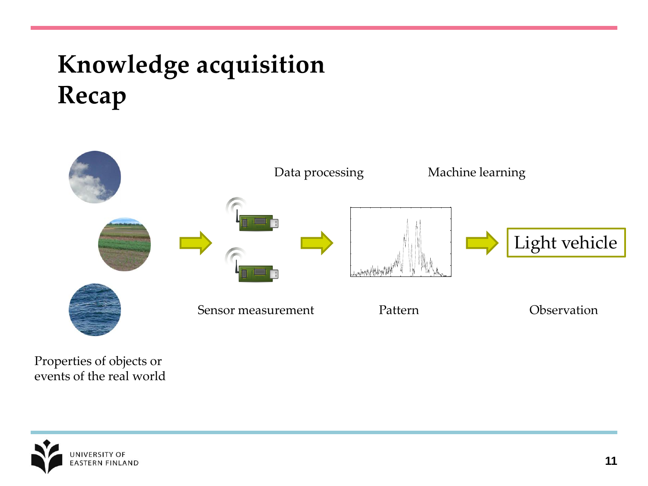## **Knowledge acquisition Recap**



Properties of objects or events of the real world

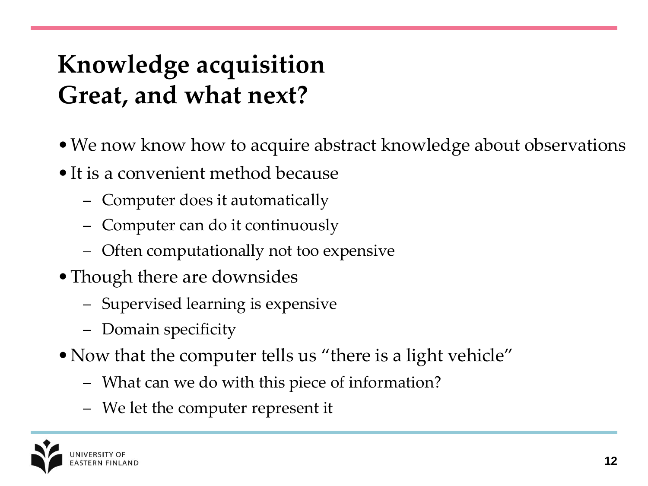## **Knowledge acquisition Great, and what next?**

- •We now know how to acquire abstract knowledge about observations
- It is a convenient method because
	- Computer does it automatically
	- Computer can do it continuously
	- Often computationally not too expensive
- Though there are downsides
	- Supervised learning is expensive
	- Domain specificity
- Now that the computer tells us "there is a light vehicle"
	- What can we do with this piece of information?
	- We let the computer represent it

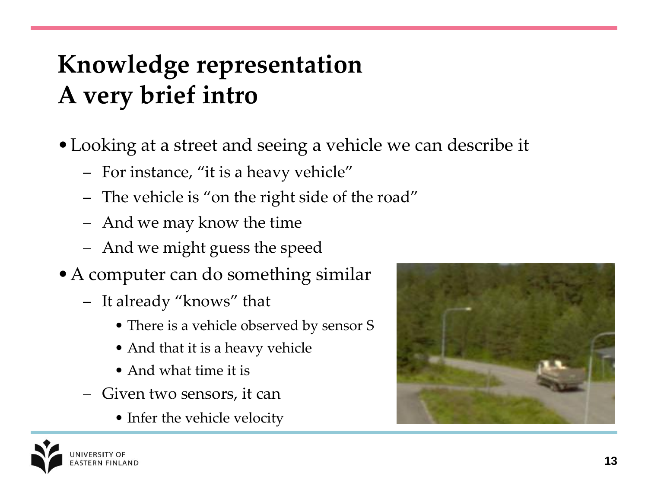## **Knowledge representation A very brief intro**

- •Looking at a street and seeing a vehicle we can describe it
	- For instance, "it is a heavy vehicle"
	- The vehicle is "on the right side of the road"
	- And we may know the time
	- And we might guess the speed
- A computer can do something similar
	- It already "knows" that
		- There is a vehicle observed by sensor S
		- And that it is a heavy vehicle
		- And what time it is
	- Given two sensors, it can
		- Infer the vehicle velocity



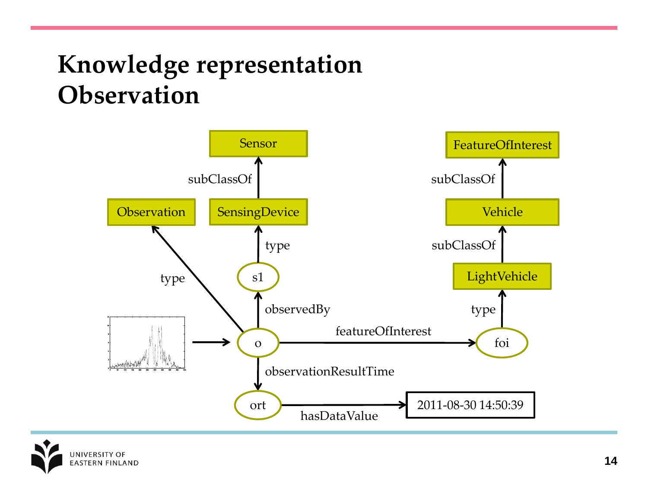#### **Knowledge representation Observation**



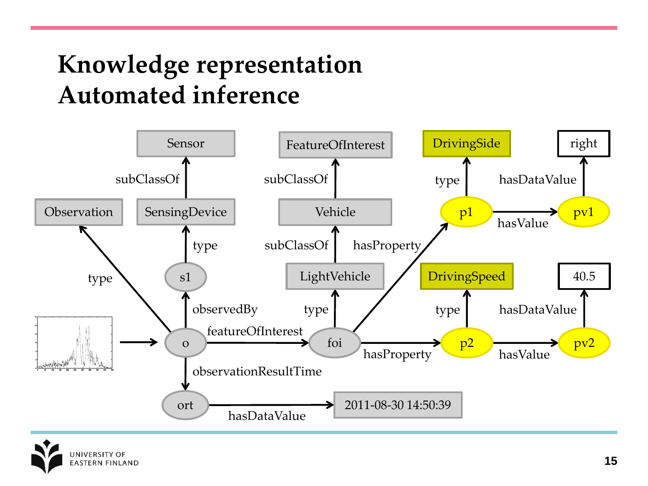### **Knowledge representation Automated inference**



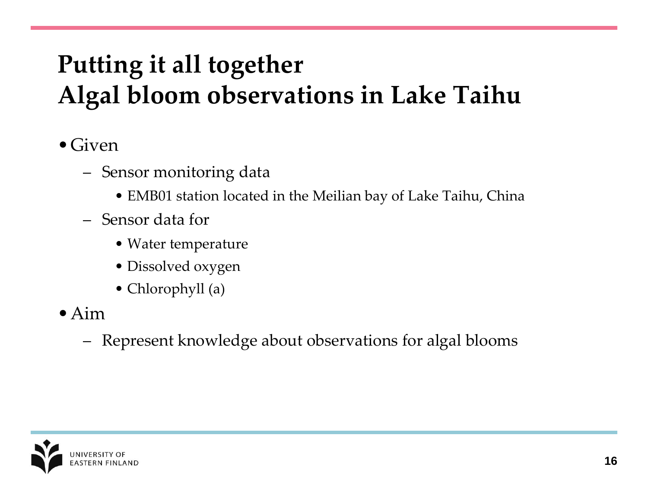## **Putting it all together Algal bloom observations in Lake Taihu**

- $\bullet$  Given
	- Sensor monitoring data
		- EMB01 station located in the Meilian bay of Lake Taihu, China
	- Sensor data for
		- Water temperature
		- Dissolved oxygen
		- Chlorophyll (a)
- $\bullet$  Aim
	- Represent knowledge about observations for algal blooms

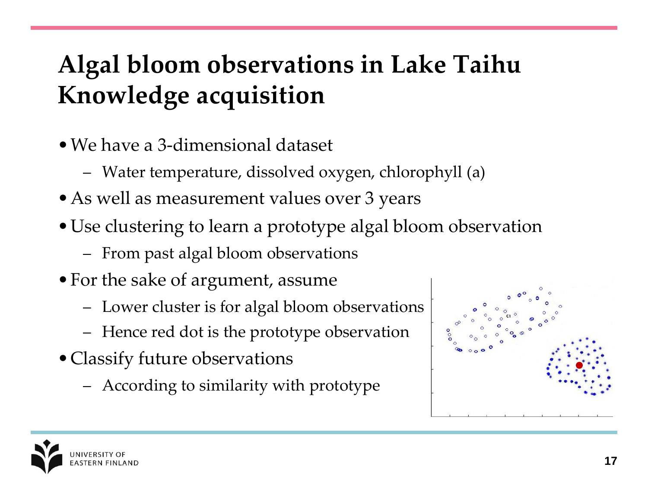## **Algal bloom observations in Lake Taihu Knowledge acquisition**

- •We have a 3-dimensional dataset
	- Water temperature, dissolved oxygen, chlorophyll (a)
- •As well as measurement values over 3 years
- •Use clustering to learn a prototype algal bloom observation
	- From past algal bloom observations
- For the sake of argument, assume
	- Lower cluster is for algal bloom observations
	- Hence red dot is the prototype observation
- Classify future observations
	- According to similarity with prototype



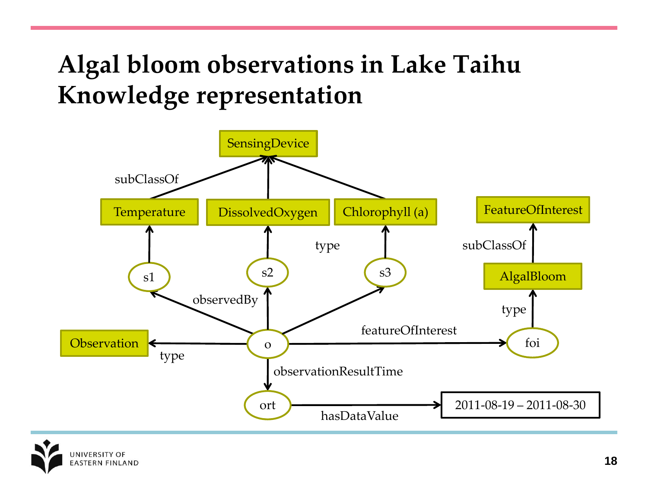### **Algal bloom observations in Lake Taihu Knowledge representation**